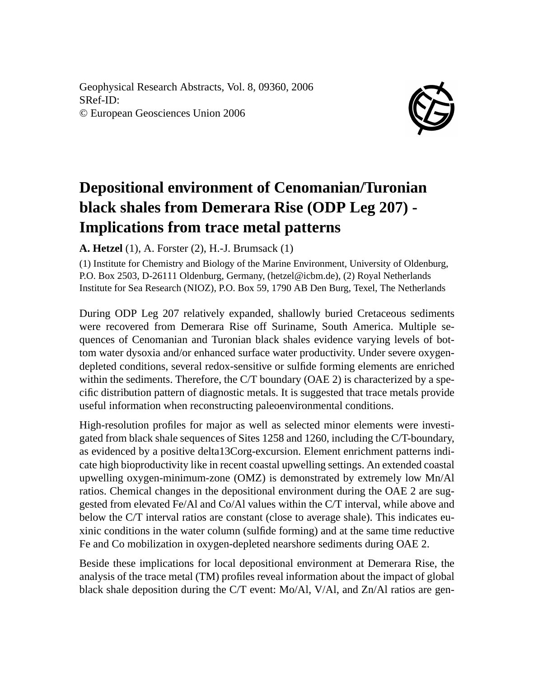Geophysical Research Abstracts, Vol. 8, 09360, 2006 SRef-ID: © European Geosciences Union 2006



## **Depositional environment of Cenomanian/Turonian black shales from Demerara Rise (ODP Leg 207) - Implications from trace metal patterns**

## **A. Hetzel** (1), A. Forster (2), H.-J. Brumsack (1)

(1) Institute for Chemistry and Biology of the Marine Environment, University of Oldenburg, P.O. Box 2503, D-26111 Oldenburg, Germany, (hetzel@icbm.de), (2) Royal Netherlands Institute for Sea Research (NIOZ), P.O. Box 59, 1790 AB Den Burg, Texel, The Netherlands

During ODP Leg 207 relatively expanded, shallowly buried Cretaceous sediments were recovered from Demerara Rise off Suriname, South America. Multiple sequences of Cenomanian and Turonian black shales evidence varying levels of bottom water dysoxia and/or enhanced surface water productivity. Under severe oxygendepleted conditions, several redox-sensitive or sulfide forming elements are enriched within the sediments. Therefore, the C/T boundary (OAE 2) is characterized by a specific distribution pattern of diagnostic metals. It is suggested that trace metals provide useful information when reconstructing paleoenvironmental conditions.

High-resolution profiles for major as well as selected minor elements were investigated from black shale sequences of Sites 1258 and 1260, including the C/T-boundary, as evidenced by a positive delta13Corg-excursion. Element enrichment patterns indicate high bioproductivity like in recent coastal upwelling settings. An extended coastal upwelling oxygen-minimum-zone (OMZ) is demonstrated by extremely low Mn/Al ratios. Chemical changes in the depositional environment during the OAE 2 are suggested from elevated Fe/Al and Co/Al values within the C/T interval, while above and below the C/T interval ratios are constant (close to average shale). This indicates euxinic conditions in the water column (sulfide forming) and at the same time reductive Fe and Co mobilization in oxygen-depleted nearshore sediments during OAE 2.

Beside these implications for local depositional environment at Demerara Rise, the analysis of the trace metal (TM) profiles reveal information about the impact of global black shale deposition during the C/T event: Mo/Al, V/Al, and Zn/Al ratios are gen